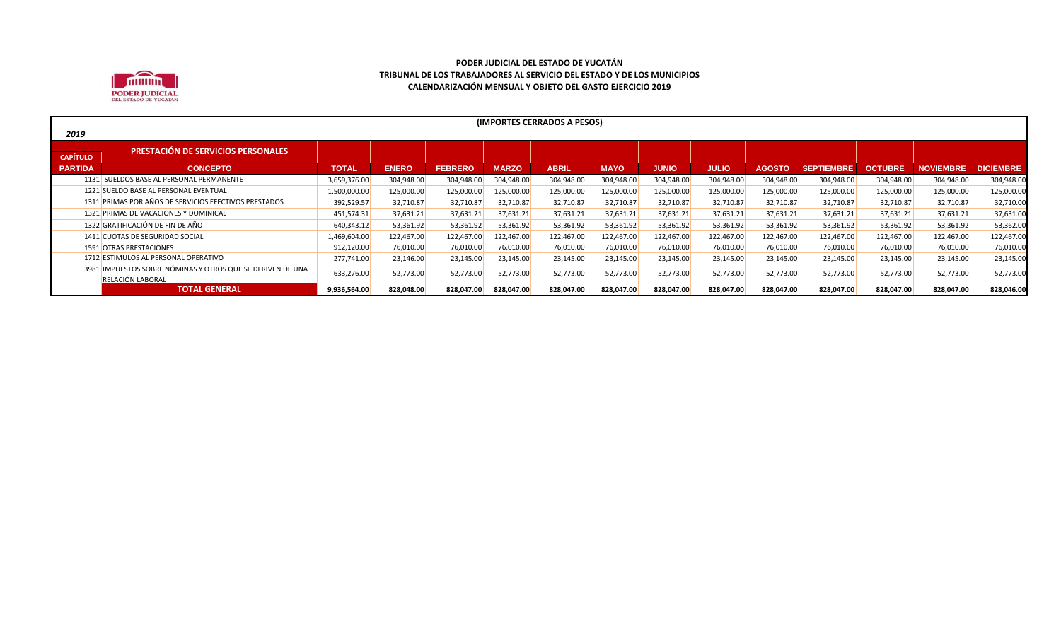

|                 | (IMPORTES CERRADOS A PESOS)                                |              |              |                |              |              |             |              |              |               |                   |            |                  |                  |
|-----------------|------------------------------------------------------------|--------------|--------------|----------------|--------------|--------------|-------------|--------------|--------------|---------------|-------------------|------------|------------------|------------------|
| 2019            |                                                            |              |              |                |              |              |             |              |              |               |                   |            |                  |                  |
|                 | <b>PRESTACIÓN DE SERVICIOS PERSONALES</b>                  |              |              |                |              |              |             |              |              |               |                   |            |                  |                  |
| <b>CAPÍTULO</b> |                                                            |              |              |                |              |              |             |              |              |               |                   |            |                  |                  |
| <b>PARTIDA</b>  | <b>CONCEPTO</b>                                            | <b>TOTAL</b> | <b>ENERO</b> | <b>FEBRERO</b> | <b>MARZO</b> | <b>ABRIL</b> | <b>MAYO</b> | <b>JUNIO</b> | <b>JULIO</b> | <b>AGOSTO</b> | <b>SEPTIEMBRE</b> | OCTUBRE    | <b>NOVIEMBRE</b> | <b>DICIEMBRE</b> |
|                 | 1131 SUELDOS BASE AL PERSONAL PERMANENTE                   | 3,659,376.00 | 304,948.00   | 304,948.00     | 304,948.00   | 304,948.00   | 304,948.00  | 304,948.00   | 304,948.00   | 304,948.00    | 304,948.00        | 304,948.00 | 304,948.00       | 304,948.00       |
|                 | 1221 SUELDO BASE AL PERSONAL EVENTUAL                      | 1,500,000.00 | 125,000.00   | 125,000.00     | 125,000.00   | 125,000.00   | 125,000.00  | 125,000.00   | 125,000.00   | 125,000.00    | 125,000.00        | 125,000.00 | 125,000.00       | 125,000.00       |
|                 | 1311 PRIMAS POR AÑOS DE SERVICIOS EFECTIVOS PRESTADOS      | 392,529.57   | 32,710.87    | 32,710.87      | 32,710.87    | 32,710.87    | 32,710.87   | 32,710.87    | 32,710.87    | 32,710.87     | 32,710.87         | 32,710.87  | 32,710.87        | 32,710.00        |
|                 | 1321 PRIMAS DE VACACIONES Y DOMINICAL                      | 451,574.31   | 37,631.21    | 37,631.21      | 37,631.21    | 37,631.21    | 37,631.21   | 37,631.21    | 37,631.21    | 37,631.21     | 37,631.21         | 37,631.21  | 37,631.21        | 37,631.00        |
|                 | 1322 GRATIFICACIÓN DE FIN DE AÑO                           | 640,343.12   | 53,361.92    | 53,361.92      | 53,361.92    | 53,361.92    | 53,361.92   | 53,361.92    | 53,361.92    | 53,361.92     | 53,361.92         | 53,361.92  | 53,361.92        | 53,362.00        |
|                 | 1411 CUOTAS DE SEGURIDAD SOCIAL                            | 1,469,604.00 | 122,467.00   | 122,467.00     | 122,467.00   | 122,467.00   | 122,467.00  | 122,467.00   | 122,467.00   | 122,467.00    | 122,467.00        | 122,467.00 | 122,467.00       | 122,467.00       |
|                 | 1591 OTRAS PRESTACIONES                                    | 912,120.00   | 76,010.00    | 76,010.00      | 76,010.00    | 76,010.00    | 76,010.00   | 76,010.00    | 76,010.00    | 76,010.00     | 76,010.00         | 76,010.00  | 76,010.00        | 76,010.00        |
|                 | 1712 ESTIMULOS AL PERSONAL OPERATIVO                       | 277,741.00   | 23,146.00    | 23,145.00      | 23,145.00    | 23,145.00    | 23,145.00   | 23,145.00    | 23,145.00    | 23,145.00     | 23,145.00         | 23,145.00  | 23,145.00        | 23,145.00        |
|                 | 3981 IMPUESTOS SOBRE NÓMINAS Y OTROS QUE SE DERIVEN DE UNA | 633,276.00   | 52,773.00    | 52,773.00      | 52,773.00    | 52,773.00    | 52,773.00   | 52,773.00    | 52,773.00    | 52,773.00     | 52,773.00         | 52,773.00  | 52,773.00        | 52,773.00        |
|                 | RELACIÓN LABORAL                                           |              |              |                |              |              |             |              |              |               |                   |            |                  |                  |
|                 | <b>TOTAL GENERAL</b>                                       | 9,936,564.00 | 828,048.00   | 828,047.00     | 828,047.00   | 828,047.00   | 828,047.00  | 828,047.00   | 828,047.00   | 828,047.00    | 828,047.00        | 828,047.00 | 828.047.00       | 828,046.00       |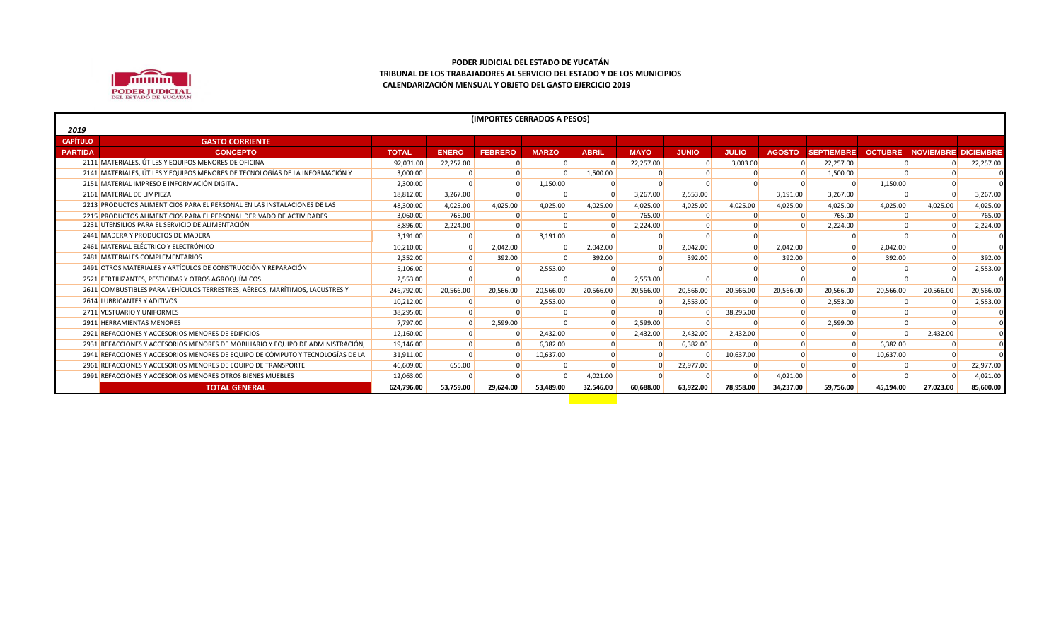

|                 | (IMPORTES CERRADOS A PESOS)                                                     |              |              |                |              |              |             |              |              |               |                   |                |                            |           |
|-----------------|---------------------------------------------------------------------------------|--------------|--------------|----------------|--------------|--------------|-------------|--------------|--------------|---------------|-------------------|----------------|----------------------------|-----------|
| 2019            |                                                                                 |              |              |                |              |              |             |              |              |               |                   |                |                            |           |
| <b>CAPÍTULO</b> | <b>GASTO CORRIENTE</b>                                                          |              |              |                |              |              |             |              |              |               |                   |                |                            |           |
| <b>PARTIDA</b>  | <b>CONCEPTO</b>                                                                 | <b>TOTAL</b> | <b>ENERO</b> | <b>FEBRERO</b> | <b>MARZO</b> | <b>ABRIL</b> | <b>MAYO</b> | <b>JUNIO</b> | <b>JULIO</b> | <b>AGOSTO</b> | <b>SEPTIEMBRE</b> | <b>OCTUBRE</b> | <b>NOVIEMBRE DICIEMBRE</b> |           |
|                 | 2111 MATERIALES, ÚTILES Y EQUIPOS MENORES DE OFICINA                            | 92,031.00    | 22,257.00    |                |              |              | 22,257.00   |              | 3,003.00     |               | 22,257.00         |                |                            | 22,257.00 |
|                 | 2141 MATERIALES, ÚTILES Y EQUIPOS MENORES DE TECNOLOGÍAS DE LA INFORMACIÓN Y    | 3,000.00     |              |                |              | 1,500.00     |             |              |              |               | 1,500.00          |                |                            |           |
|                 | 2151 MATERIAL IMPRESO E INFORMACIÓN DIGITAL                                     | 2,300.00     |              |                | 1,150.00     |              |             |              |              |               |                   | 1,150.00       |                            |           |
|                 | 2161 MATERIAL DE LIMPIEZA                                                       | 18,812.00    | 3,267.00     |                |              |              | 3,267.00    | 2,553.00     |              | 3,191.00      | 3,267.00          |                |                            | 3,267.00  |
|                 | 2213 PRODUCTOS ALIMENTICIOS PARA EL PERSONAL EN LAS INSTALACIONES DE LAS        | 48,300.00    | 4,025.00     | 4,025.00       | 4,025.00     | 4,025.00     | 4,025.00    | 4,025.00     | 4,025.00     | 4,025.00      | 4,025.00          | 4,025.00       | 4,025.00                   | 4,025.00  |
|                 | 2215 PRODUCTOS ALIMENTICIOS PARA EL PERSONAL DERIVADO DE ACTIVIDADES            | 3,060.00     | 765.00       |                |              |              | 765.00      |              |              | $\Omega$      | 765.00            |                |                            | 765.00    |
|                 | 2231 UTENSILIOS PARA EL SERVICIO DE ALIMENTACIÓN                                | 8,896.00     | 2,224.00     |                |              |              | 2,224.00    |              |              |               | 2,224.00          |                |                            | 2,224.00  |
|                 | 2441 MADERA Y PRODUCTOS DE MADERA                                               | 3,191.00     |              |                | 3,191.00     |              |             |              |              |               |                   |                |                            |           |
|                 | 2461 MATERIAL ELÉCTRICO Y ELECTRÓNICO                                           | 10,210.00    |              | 2,042.00       |              | 2,042.00     |             | 2,042.00     | $\Omega$     | 2.042.00      |                   | 2,042.00       |                            |           |
|                 | 2481 MATERIALES COMPLEMENTARIOS                                                 | 2,352.00     |              | 392.00         |              | 392.00       |             | 392.00       |              | 392.00        |                   | 392.00         |                            | 392.00    |
|                 | 2491 OTROS MATERIALES Y ARTÍCULOS DE CONSTRUCCIÓN Y REPARACIÓN                  | 5,106.00     |              |                | 2,553.00     |              |             |              |              |               |                   |                |                            | 2,553.00  |
|                 | 2521 FERTILIZANTES, PESTICIDAS Y OTROS AGROQUÍMICOS                             | 2,553.00     |              |                |              |              | 2,553.00    |              |              |               |                   |                |                            |           |
|                 | 2611 COMBUSTIBLES PARA VEHÍCULOS TERRESTRES, AÉREOS, MARÍTIMOS, LACUSTRES Y     | 246,792.00   | 20,566.00    | 20,566.00      | 20,566.00    | 20,566.00    | 20,566.00   | 20.566.00    | 20,566.00    | 20,566.00     | 20,566.00         | 20,566.00      | 20,566.00                  | 20,566.00 |
|                 | 2614 LUBRICANTES Y ADITIVOS                                                     | 10,212.00    |              |                | 2,553.00     |              |             | 2,553.00     |              |               | 2,553.00          |                |                            | 2,553.00  |
|                 | 2711 VESTUARIO Y UNIFORMES                                                      | 38,295.00    |              |                |              |              |             |              | 38,295.00    |               |                   |                |                            |           |
|                 | 2911 HERRAMIENTAS MENORES                                                       | 7,797.00     |              | 2,599.00       |              |              | 2,599.00    |              |              |               | 2,599.00          |                |                            |           |
|                 | 2921 REFACCIONES Y ACCESORIOS MENORES DE EDIFICIOS                              | 12,160.00    |              |                | 2,432.00     |              | 2,432.00    | 2,432.00     | 2,432.00     |               |                   |                | 2,432.00                   |           |
|                 | 2931 REFACCIONES Y ACCESORIOS MENORES DE MOBILIARIO Y EQUIPO DE ADMINISTRACIÓN, | 19,146.00    |              |                | 6,382.00     |              |             | 6,382.00     |              |               |                   | 6,382.00       |                            |           |
|                 | 2941 REFACCIONES Y ACCESORIOS MENORES DE EQUIPO DE CÓMPUTO Y TECNOLOGÍAS DE LA  | 31,911.00    |              |                | 10,637.00    |              |             |              | 10,637.00    |               |                   | 10,637.00      |                            |           |
|                 | 2961 REFACCIONES Y ACCESORIOS MENORES DE EQUIPO DE TRANSPORTE                   | 46,609.00    | 655.00       |                |              |              |             | 22,977.00    |              |               |                   |                |                            | 22,977.00 |
|                 | 2991 REFACCIONES Y ACCESORIOS MENORES OTROS BIENES MUEBLES                      | 12,063.00    |              |                |              | 4,021.00     |             |              |              | 4,021.00      |                   |                |                            | 4,021.00  |
|                 | <b>TOTAL GENERAL</b>                                                            | 624,796.00   | 53,759.00    | 29,624.00      | 53,489.00    | 32,546.00    | 60.688.00   | 63.922.00    | 78,958.00    | 34.237.00     | 59,756.00         | 45.194.00      | 27.023.00                  | 85,600.00 |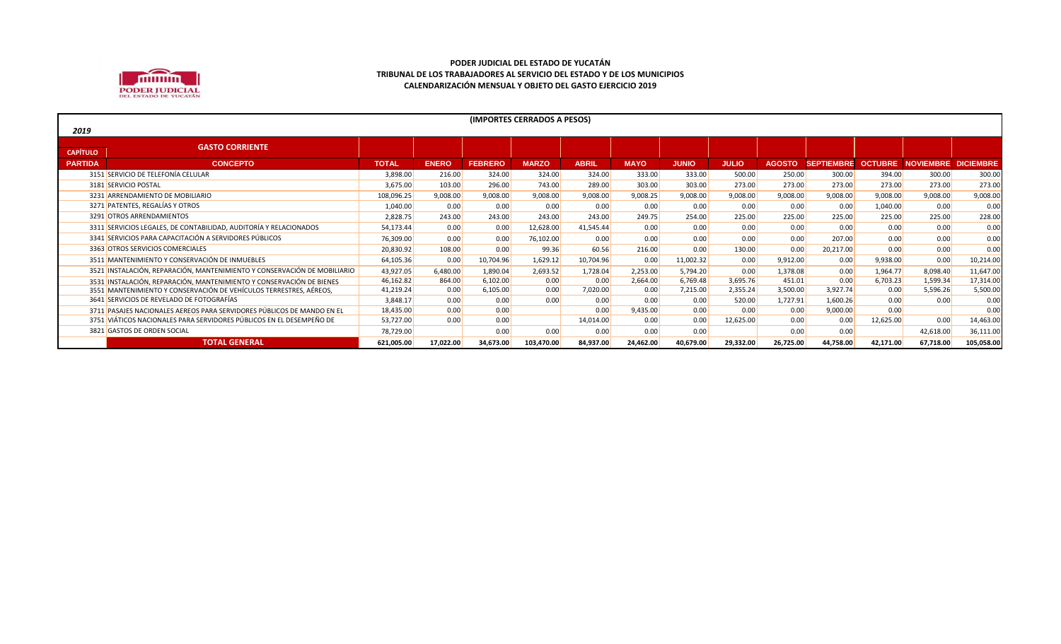

|                 | (IMPORTES CERRADOS A PESOS)                                              |              |              |                |              |              |             |              |              |               |                                        |           |           |            |
|-----------------|--------------------------------------------------------------------------|--------------|--------------|----------------|--------------|--------------|-------------|--------------|--------------|---------------|----------------------------------------|-----------|-----------|------------|
| 2019            |                                                                          |              |              |                |              |              |             |              |              |               |                                        |           |           |            |
|                 | <b>GASTO CORRIENTE</b>                                                   |              |              |                |              |              |             |              |              |               |                                        |           |           |            |
| <b>CAPÍTULO</b> |                                                                          |              |              |                |              |              |             |              |              |               |                                        |           |           |            |
| <b>PARTIDA</b>  | <b>CONCEPTO</b>                                                          | <b>TOTAL</b> | <b>ENERO</b> | <b>FEBRERO</b> | <b>MARZO</b> | <b>ABRIL</b> | <b>MAYO</b> | <b>JUNIO</b> | <b>JULIO</b> | <b>AGOSTO</b> | SEPTIEMBRE OCTUBRE NOVIEMBRE DICIEMBRE |           |           |            |
|                 | 3151 SERVICIO DE TELEFONÍA CELULAR                                       | 3,898.00     | 216.00       | 324.00         | 324.00       | 324.00       | 333.00      | 333.00       | 500.00       | 250.00        | 300.00                                 | 394.00    | 300.00    | 300.00     |
|                 | 3181 SERVICIO POSTAL                                                     | 3,675.00     | 103.00       | 296.00         | 743.00       | 289.00       | 303.00      | 303.00       | 273.00       | 273.00        | 273.00                                 | 273.00    | 273.00    | 273.00     |
|                 | 3231 ARRENDAMIENTO DE MOBILIARIO                                         | 108,096.25   | 9,008.00     | 9,008.00       | 9,008.00     | 9,008.00     | 9,008.25    | 9,008.00     | 9,008.00     | 9,008.00      | 9,008.00                               | 9,008.00  | 9,008.00  | 9,008.00   |
|                 | 3271 PATENTES, REGALÍAS Y OTROS                                          | 1,040.00     | 0.00         | 0.00           | 0.00         | 0.00         | 0.00        | 0.00         | 0.00         | 0.00          | 0.00                                   | 1,040.00  | 0.00      | 0.00       |
|                 | 3291 OTROS ARRENDAMIENTOS                                                | 2,828.75     | 243.00       | 243.00         | 243.00       | 243.00       | 249.75      | 254.00       | 225.00       | 225.00        | 225.00                                 | 225.00    | 225.00    | 228.00     |
|                 | 3311 SERVICIOS LEGALES, DE CONTABILIDAD, AUDITORÍA Y RELACIONADOS        | 54,173.44    | 0.00         | 0.00           | 12,628.00    | 41,545.44    | 0.00        | 0.00         | 0.00         | 0.00          | 0.00                                   | 0.00      | 0.00      | 0.00       |
|                 | 3341 SERVICIOS PARA CAPACITACIÓN A SERVIDORES PÚBLICOS                   | 76,309.00    | 0.00         | 0.00           | 76,102.00    | 0.00         | 0.00        | 0.00         | 0.00         | 0.00          | 207.00                                 | 0.00      | 0.00      | 0.00       |
|                 | 3363 OTROS SERVICIOS COMERCIALES                                         | 20,830.92    | 108.00       | 0.00           | 99.36        | 60.56        | 216.00      | 0.00         | 130.00       | 0.00          | 20,217.00                              | 0.00      | 0.00      | 0.00       |
|                 | 3511 MANTENIMIENTO Y CONSERVACIÓN DE INMUEBLES                           | 64,105.36    | 0.00         | 10,704.96      | 1,629.12     | 10,704.96    | 0.00        | 11,002.32    | 0.00         | 9,912.00      | 0.00                                   | 9,938.00  | 0.00      | 10,214.00  |
|                 | 3521 INSTALACIÓN, REPARACIÓN, MANTENIMIENTO Y CONSERVACIÓN DE MOBILIARIO | 43,927.05    | 6,480.00     | 1,890.04       | 2,693.52     | 1,728.04     | 2,253.00    | 5,794.20     | 0.00         | 1,378.08      | 0.00                                   | 1,964.77  | 8,098.40  | 11,647.00  |
|                 | 3531 INSTALACIÓN, REPARACIÓN, MANTENIMIENTO Y CONSERVACIÓN DE BIENES     | 46,162.82    | 864.00       | 6,102.00       | 0.00         | 0.00         | 2,664.00    | 6,769.48     | 3,695.76     | 451.01        | 0.00                                   | 6,703.23  | 1,599.34  | 17,314.00  |
|                 | 3551 MANTENIMIENTO Y CONSERVACIÓN DE VEHÍCULOS TERRESTRES, AÉREOS,       | 41,219.24    | 0.00         | 6,105.00       | 0.00         | 7,020.00     | 0.00        | 7,215.00     | 2,355.24     | 3,500.00      | 3,927.74                               | 0.00      | 5,596.26  | 5,500.00   |
|                 | 3641 SERVICIOS DE REVELADO DE FOTOGRAFÍAS                                | 3,848.17     | 0.00         | 0.00           | 0.00         | 0.00         | 0.00        | 0.00         | 520.00       | 1,727.91      | 1,600.26                               | 0.00      | 0.00      | 0.00       |
|                 | 3711 PASAJES NACIONALES AEREOS PARA SERVIDORES PÚBLICOS DE MANDO EN EL   | 18,435.00    | 0.00         | 0.00           |              | 0.00         | 9.435.00    | 0.00         | 0.00         | 0.00          | 9,000.00                               | 0.00      |           | 0.00       |
|                 | 3751 VIÁTICOS NACIONALES PARA SERVIDORES PÚBLICOS EN EL DESEMPEÑO DE     | 53,727.00    | 0.00         | 0.00           |              | 14,014.00    | 0.00        | 0.00         | 12,625.00    | 0.00          | 0.00                                   | 12,625.00 | 0.00      | 14,463.00  |
|                 | 3821 GASTOS DE ORDEN SOCIAL                                              | 78,729.00    |              | 0.00           | 0.00         | 0.00         | 0.00        | 0.00         |              | 0.00          | 0.00                                   |           | 42,618.00 | 36,111.00  |
|                 | <b>TOTAL GENERAL</b>                                                     | 621,005.00   | 17,022.00    | 34,673.00      | 103,470.00   | 84,937.00    | 24,462.00   | 40,679.00    | 29,332.00    | 26,725.00     | 44,758.00                              | 42,171.00 | 67,718.00 | 105,058.00 |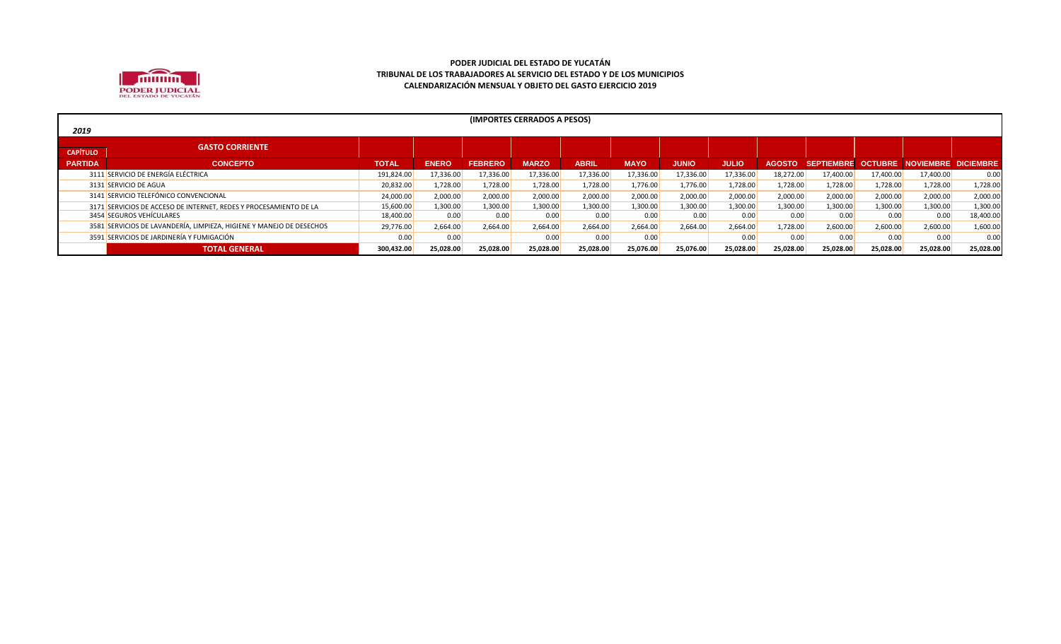

| 2019            | (IMPORTES CERRADOS A PESOS)                                          |              |              |                |              |              |             |              |              |               |           |                   |                                        |           |
|-----------------|----------------------------------------------------------------------|--------------|--------------|----------------|--------------|--------------|-------------|--------------|--------------|---------------|-----------|-------------------|----------------------------------------|-----------|
|                 | <b>GASTO CORRIENTE</b>                                               |              |              |                |              |              |             |              |              |               |           |                   |                                        |           |
| <b>CAPÍTULO</b> |                                                                      |              |              |                |              |              |             |              |              |               |           |                   |                                        |           |
| <b>PARTIDA</b>  | <b>CONCEPTO</b>                                                      | <b>TOTAL</b> | <b>ENERO</b> | <b>FEBRERO</b> | <b>MARZO</b> | <b>ABRIL</b> | <b>MAYO</b> | <b>JUNIO</b> | <b>JULIO</b> | <b>AGOSTO</b> |           |                   | SEPTIEMBRE OCTUBRE NOVIEMBRE DICIEMBRE |           |
|                 | 3111 SERVICIO DE ENERGÍA ELÉCTRICA                                   | 191,824.00   | 17,336.00    | 17,336.00      | 17,336.00    | 17,336.00    | 17,336.00   | 17,336.00    | 17,336.00    | 18,272.00     | 17,400.00 | 17,400.00         | 17,400.00                              | 0.00      |
|                 | 3131 SERVICIO DE AGUA                                                | 20,832.00    | 1,728.00     | 1,728.00       | 1,728.00     | 1,728.00     | 1,776.00    | 1,776.00     | 1,728.00     | 1,728.00      | 1,728.00  | 1,728.00          | 1,728.00                               | 1,728.00  |
|                 | 3141 SERVICIO TELEFÓNICO CONVENCIONAL                                | 24,000.00    | 2,000.00     | 2,000.00       | 2,000.00     | 2,000.00     | 2,000.00    | 2,000.00     | 2,000.00     | 2,000.00      | 2,000.00  | 2,000.00          | 2,000.00                               | 2,000.00  |
|                 | 3171 SERVICIOS DE ACCESO DE INTERNET, REDES Y PROCESAMIENTO DE LA    | 15,600.00    | 1,300.00     | 1,300.00       | 1,300.00     | 1,300.00     | 1,300.00    | 1,300.00     | 1,300.00     | 1,300.00      | 1,300.00  | 1,300.00          | 1,300.00                               | 1,300.00  |
|                 | 3454 SEGUROS VEHÍCULARES                                             | 18,400.00    | 0.00         | 0.00           | 0.00         | 0.00         | 0.00        | 0.00         | 0.00         | 0.00          | 0.00      | 0.00 <sub>1</sub> | 0.00                                   | 18,400.00 |
|                 | 3581 SERVICIOS DE LAVANDERÍA, LIMPIEZA, HIGIENE Y MANEJO DE DESECHOS | 29,776.00    | 2,664.00     | 2,664.00       | 2,664.00     | 2,664.00     | 2,664.00    | 2,664.00     | 2,664.00     | 1,728.00      | 2,600.00  | 2,600.00          | 2,600.00                               | 1,600.00  |
|                 | 3591 SERVICIOS DE JARDINERÍA Y FUMIGACIÓN                            | 0.00         | 0.00         |                | 0.00         | 0.00         | 0.00        |              | 0.00         | 0.00          | 0.00      | 0.00              | 0.00                                   | 0.00      |
|                 | <b>TOTAL GENERAL</b>                                                 | 300,432.00   | 25,028.00    | 25,028.00      | 25,028.00    | 25,028.00    | 25,076.00   | 25,076.00    | 25,028.00    | 25,028.00     | 25,028.00 | 25,028.00         | 25,028.00                              | 25,028.00 |